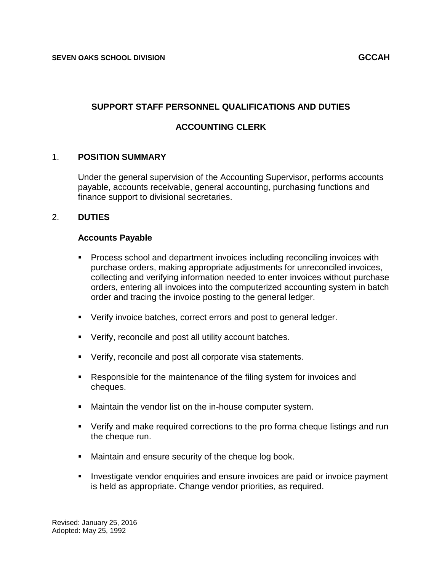## **SUPPORT STAFF PERSONNEL QUALIFICATIONS AND DUTIES**

# **ACCOUNTING CLERK**

### 1. **POSITION SUMMARY**

Under the general supervision of the Accounting Supervisor, performs accounts payable, accounts receivable, general accounting, purchasing functions and finance support to divisional secretaries.

### 2. **DUTIES**

#### **Accounts Payable**

- **Process school and department invoices including reconciling invoices with** purchase orders, making appropriate adjustments for unreconciled invoices, collecting and verifying information needed to enter invoices without purchase orders, entering all invoices into the computerized accounting system in batch order and tracing the invoice posting to the general ledger.
- **Verify invoice batches, correct errors and post to general ledger.**
- Verify, reconcile and post all utility account batches.
- Verify, reconcile and post all corporate visa statements.
- Responsible for the maintenance of the filing system for invoices and cheques.
- Maintain the vendor list on the in-house computer system.
- Verify and make required corrections to the pro forma cheque listings and run the cheque run.
- **Maintain and ensure security of the cheque log book.**
- **Investigate vendor enquiries and ensure invoices are paid or invoice payment** is held as appropriate. Change vendor priorities, as required.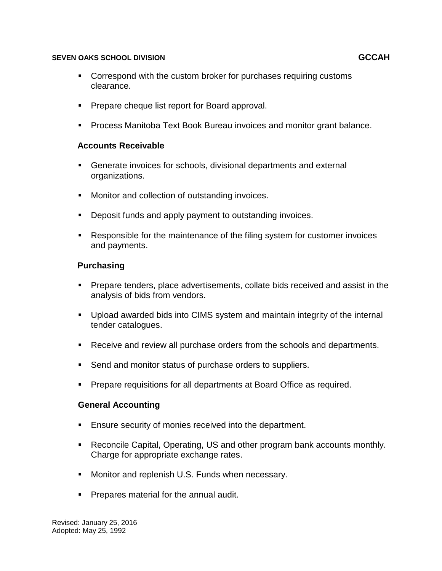### **SEVEN OAKS SCHOOL DIVISION GCCAH**

- Correspond with the custom broker for purchases requiring customs clearance.
- **Prepare cheque list report for Board approval.**
- Process Manitoba Text Book Bureau invoices and monitor grant balance.

### **Accounts Receivable**

- Generate invoices for schools, divisional departments and external organizations.
- **Monitor and collection of outstanding invoices.**
- **Deposit funds and apply payment to outstanding invoices.**
- Responsible for the maintenance of the filing system for customer invoices and payments.

### **Purchasing**

- **Prepare tenders, place advertisements, collate bids received and assist in the** analysis of bids from vendors.
- Upload awarded bids into CIMS system and maintain integrity of the internal tender catalogues.
- Receive and review all purchase orders from the schools and departments.
- **Send and monitor status of purchase orders to suppliers.**
- **Prepare requisitions for all departments at Board Office as required.**

### **General Accounting**

- **Ensure security of monies received into the department.**
- Reconcile Capital, Operating, US and other program bank accounts monthly. Charge for appropriate exchange rates.
- **Monitor and replenish U.S. Funds when necessary.**
- **Prepares material for the annual audit.**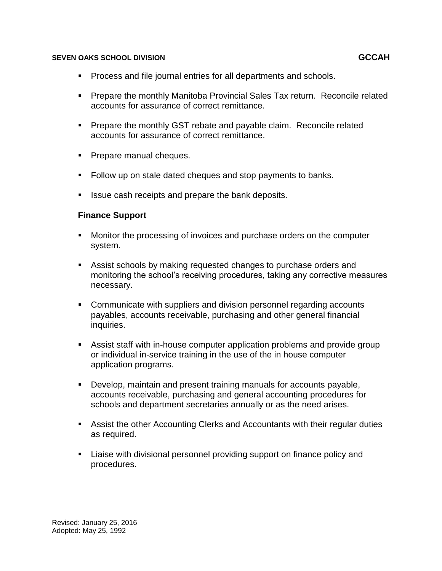#### **SEVEN OAKS SCHOOL DIVISION GCCAH**

- **Process and file journal entries for all departments and schools.**
- **Prepare the monthly Manitoba Provincial Sales Tax return. Reconcile related** accounts for assurance of correct remittance.
- **Prepare the monthly GST rebate and payable claim. Reconcile related** accounts for assurance of correct remittance.
- **Prepare manual cheques.**
- Follow up on stale dated cheques and stop payments to banks.
- **If** Issue cash receipts and prepare the bank deposits.

### **Finance Support**

- Monitor the processing of invoices and purchase orders on the computer system.
- Assist schools by making requested changes to purchase orders and monitoring the school's receiving procedures, taking any corrective measures necessary.
- Communicate with suppliers and division personnel regarding accounts payables, accounts receivable, purchasing and other general financial inquiries.
- Assist staff with in-house computer application problems and provide group or individual in-service training in the use of the in house computer application programs.
- Develop, maintain and present training manuals for accounts payable, accounts receivable, purchasing and general accounting procedures for schools and department secretaries annually or as the need arises.
- Assist the other Accounting Clerks and Accountants with their regular duties as required.
- Liaise with divisional personnel providing support on finance policy and procedures.